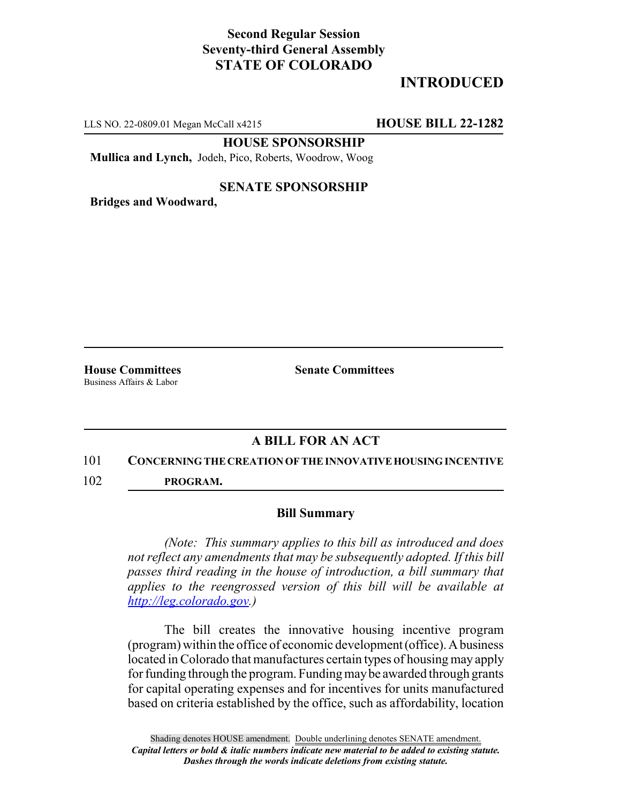## **Second Regular Session Seventy-third General Assembly STATE OF COLORADO**

# **INTRODUCED**

LLS NO. 22-0809.01 Megan McCall x4215 **HOUSE BILL 22-1282**

**HOUSE SPONSORSHIP**

**Mullica and Lynch,** Jodeh, Pico, Roberts, Woodrow, Woog

### **SENATE SPONSORSHIP**

**Bridges and Woodward,**

Business Affairs & Labor

**House Committees Senate Committees**

### **A BILL FOR AN ACT**

#### 101 **CONCERNING THE CREATION OF THE INNOVATIVE HOUSING INCENTIVE**

102 **PROGRAM.**

#### **Bill Summary**

*(Note: This summary applies to this bill as introduced and does not reflect any amendments that may be subsequently adopted. If this bill passes third reading in the house of introduction, a bill summary that applies to the reengrossed version of this bill will be available at http://leg.colorado.gov.)*

The bill creates the innovative housing incentive program (program) within the office of economic development (office). A business located in Colorado that manufactures certain types of housing may apply for funding through the program. Funding may be awarded through grants for capital operating expenses and for incentives for units manufactured based on criteria established by the office, such as affordability, location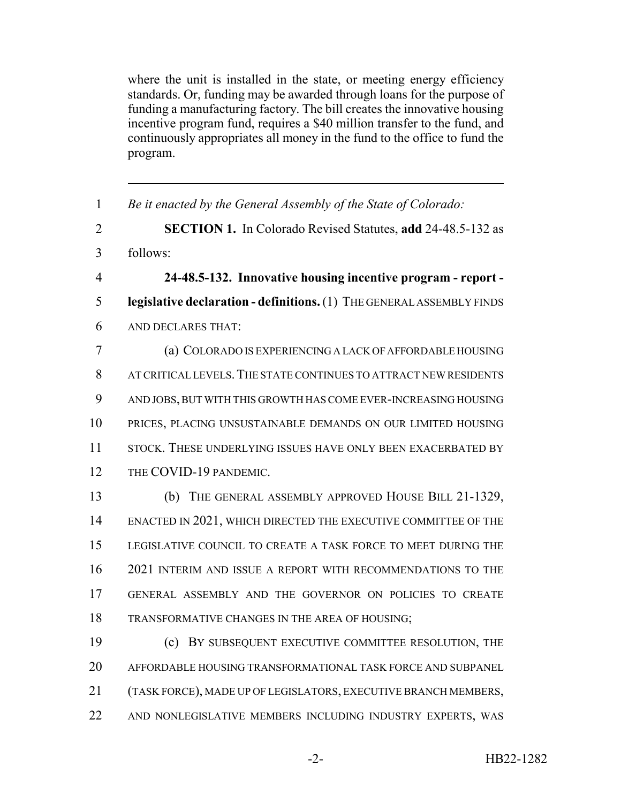where the unit is installed in the state, or meeting energy efficiency standards. Or, funding may be awarded through loans for the purpose of funding a manufacturing factory. The bill creates the innovative housing incentive program fund, requires a \$40 million transfer to the fund, and continuously appropriates all money in the fund to the office to fund the program.

| $\mathbf{1}$   | Be it enacted by the General Assembly of the State of Colorado:       |
|----------------|-----------------------------------------------------------------------|
| $\overline{2}$ | <b>SECTION 1.</b> In Colorado Revised Statutes, add 24-48.5-132 as    |
| 3              | follows:                                                              |
| 4              | 24-48.5-132. Innovative housing incentive program - report -          |
| 5              | legislative declaration - definitions. (1) THE GENERAL ASSEMBLY FINDS |
| 6              | AND DECLARES THAT:                                                    |
| 7              | (a) COLORADO IS EXPERIENCING A LACK OF AFFORDABLE HOUSING             |
| 8              | AT CRITICAL LEVELS. THE STATE CONTINUES TO ATTRACT NEW RESIDENTS      |
| 9              | AND JOBS, BUT WITH THIS GROWTH HAS COME EVER-INCREASING HOUSING       |
| 10             | PRICES, PLACING UNSUSTAINABLE DEMANDS ON OUR LIMITED HOUSING          |
| 11             | STOCK. THESE UNDERLYING ISSUES HAVE ONLY BEEN EXACERBATED BY          |
| 12             | THE COVID-19 PANDEMIC.                                                |
| 13             | (b) THE GENERAL ASSEMBLY APPROVED HOUSE BILL 21-1329,                 |
| 14             | ENACTED IN 2021, WHICH DIRECTED THE EXECUTIVE COMMITTEE OF THE        |
| 15             | LEGISLATIVE COUNCIL TO CREATE A TASK FORCE TO MEET DURING THE         |
| 16             | 2021 INTERIM AND ISSUE A REPORT WITH RECOMMENDATIONS TO THE           |
| 17             | GENERAL ASSEMBLY AND THE GOVERNOR ON POLICIES TO CREATE               |
| 18             | TRANSFORMATIVE CHANGES IN THE AREA OF HOUSING;                        |
| 19             | BY SUBSEQUENT EXECUTIVE COMMITTEE RESOLUTION, THE<br>(c)              |
| 20             | AFFORDABLE HOUSING TRANSFORMATIONAL TASK FORCE AND SUBPANEL           |
| 21             | (TASK FORCE), MADE UP OF LEGISLATORS, EXECUTIVE BRANCH MEMBERS,       |
| 22             | AND NONLEGISLATIVE MEMBERS INCLUDING INDUSTRY EXPERTS, WAS            |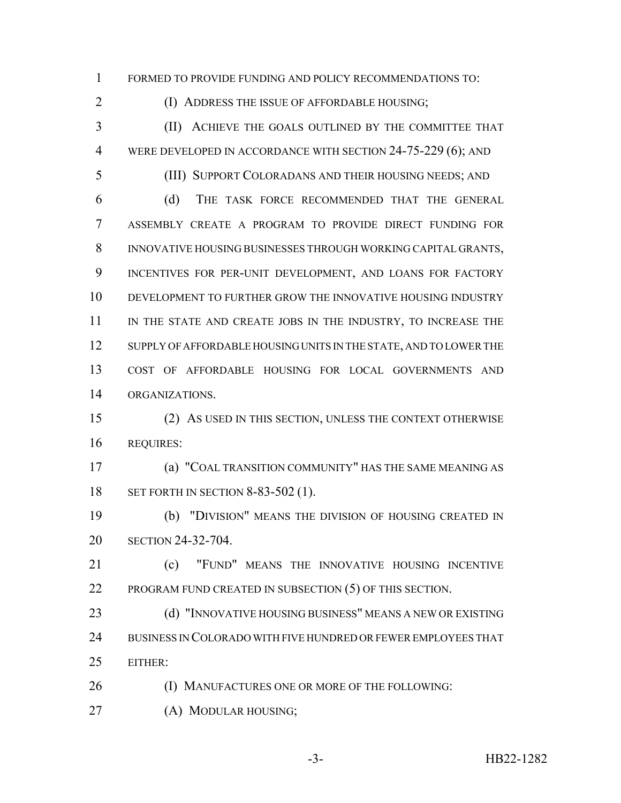FORMED TO PROVIDE FUNDING AND POLICY RECOMMENDATIONS TO:

(I) ADDRESS THE ISSUE OF AFFORDABLE HOUSING;

 (II) ACHIEVE THE GOALS OUTLINED BY THE COMMITTEE THAT 4 WERE DEVELOPED IN ACCORDANCE WITH SECTION 24-75-229 (6); AND

(III) SUPPORT COLORADANS AND THEIR HOUSING NEEDS; AND

 (d) THE TASK FORCE RECOMMENDED THAT THE GENERAL ASSEMBLY CREATE A PROGRAM TO PROVIDE DIRECT FUNDING FOR INNOVATIVE HOUSING BUSINESSES THROUGH WORKING CAPITAL GRANTS, INCENTIVES FOR PER-UNIT DEVELOPMENT, AND LOANS FOR FACTORY DEVELOPMENT TO FURTHER GROW THE INNOVATIVE HOUSING INDUSTRY 11 IN THE STATE AND CREATE JOBS IN THE INDUSTRY, TO INCREASE THE 12 SUPPLY OF AFFORDABLE HOUSING UNITS IN THE STATE, AND TO LOWER THE COST OF AFFORDABLE HOUSING FOR LOCAL GOVERNMENTS AND ORGANIZATIONS.

 (2) AS USED IN THIS SECTION, UNLESS THE CONTEXT OTHERWISE REQUIRES:

 (a) "COAL TRANSITION COMMUNITY" HAS THE SAME MEANING AS 18 SET FORTH IN SECTION 8-83-502 (1).

 (b) "DIVISION" MEANS THE DIVISION OF HOUSING CREATED IN SECTION 24-32-704.

 (c) "FUND" MEANS THE INNOVATIVE HOUSING INCENTIVE 22 PROGRAM FUND CREATED IN SUBSECTION (5) OF THIS SECTION.

 (d) "INNOVATIVE HOUSING BUSINESS" MEANS A NEW OR EXISTING BUSINESS IN COLORADO WITH FIVE HUNDRED OR FEWER EMPLOYEES THAT EITHER:

- **(I) MANUFACTURES ONE OR MORE OF THE FOLLOWING:**
- 27 (A) MODULAR HOUSING;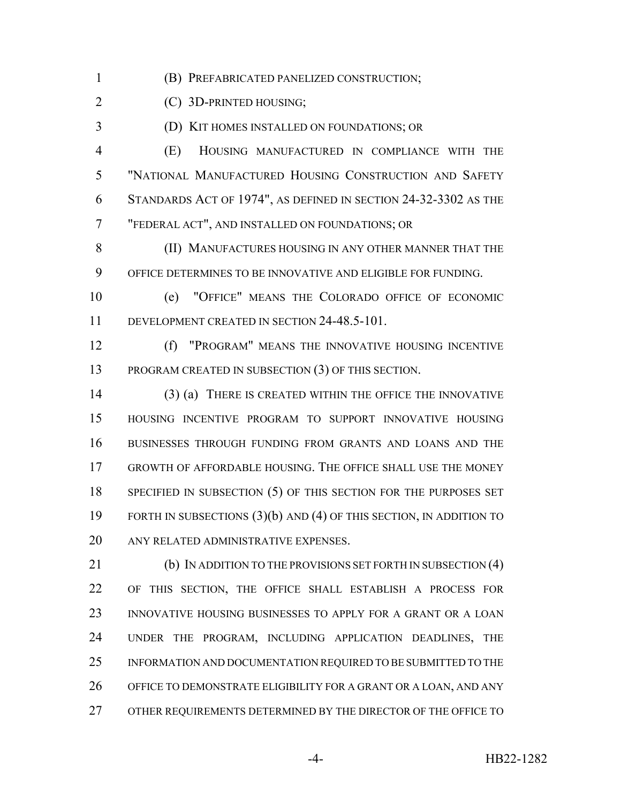(B) PREFABRICATED PANELIZED CONSTRUCTION;

(C) 3D-PRINTED HOUSING;

(D) KIT HOMES INSTALLED ON FOUNDATIONS; OR

 (E) HOUSING MANUFACTURED IN COMPLIANCE WITH THE "NATIONAL MANUFACTURED HOUSING CONSTRUCTION AND SAFETY STANDARDS ACT OF 1974", AS DEFINED IN SECTION 24-32-3302 AS THE "FEDERAL ACT", AND INSTALLED ON FOUNDATIONS; OR

**(II) MANUFACTURES HOUSING IN ANY OTHER MANNER THAT THE** OFFICE DETERMINES TO BE INNOVATIVE AND ELIGIBLE FOR FUNDING.

 (e) "OFFICE" MEANS THE COLORADO OFFICE OF ECONOMIC DEVELOPMENT CREATED IN SECTION 24-48.5-101.

 (f) "PROGRAM" MEANS THE INNOVATIVE HOUSING INCENTIVE PROGRAM CREATED IN SUBSECTION (3) OF THIS SECTION.

 (3) (a) THERE IS CREATED WITHIN THE OFFICE THE INNOVATIVE HOUSING INCENTIVE PROGRAM TO SUPPORT INNOVATIVE HOUSING BUSINESSES THROUGH FUNDING FROM GRANTS AND LOANS AND THE GROWTH OF AFFORDABLE HOUSING. THE OFFICE SHALL USE THE MONEY 18 SPECIFIED IN SUBSECTION (5) OF THIS SECTION FOR THE PURPOSES SET FORTH IN SUBSECTIONS (3)(b) AND (4) OF THIS SECTION, IN ADDITION TO ANY RELATED ADMINISTRATIVE EXPENSES.

 (b) IN ADDITION TO THE PROVISIONS SET FORTH IN SUBSECTION (4) OF THIS SECTION, THE OFFICE SHALL ESTABLISH A PROCESS FOR INNOVATIVE HOUSING BUSINESSES TO APPLY FOR A GRANT OR A LOAN UNDER THE PROGRAM, INCLUDING APPLICATION DEADLINES, THE INFORMATION AND DOCUMENTATION REQUIRED TO BE SUBMITTED TO THE OFFICE TO DEMONSTRATE ELIGIBILITY FOR A GRANT OR A LOAN, AND ANY OTHER REQUIREMENTS DETERMINED BY THE DIRECTOR OF THE OFFICE TO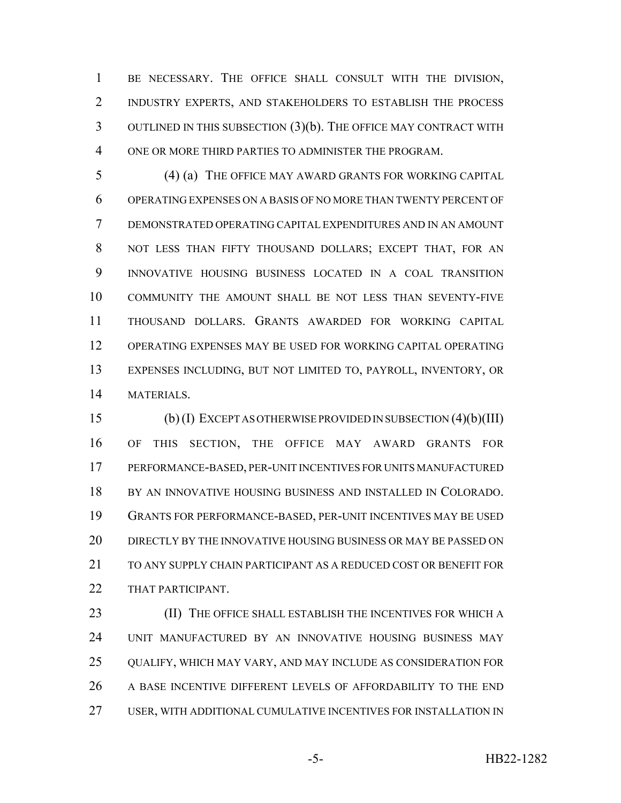BE NECESSARY. THE OFFICE SHALL CONSULT WITH THE DIVISION, INDUSTRY EXPERTS, AND STAKEHOLDERS TO ESTABLISH THE PROCESS OUTLINED IN THIS SUBSECTION (3)(b). THE OFFICE MAY CONTRACT WITH ONE OR MORE THIRD PARTIES TO ADMINISTER THE PROGRAM.

 (4) (a) THE OFFICE MAY AWARD GRANTS FOR WORKING CAPITAL OPERATING EXPENSES ON A BASIS OF NO MORE THAN TWENTY PERCENT OF DEMONSTRATED OPERATING CAPITAL EXPENDITURES AND IN AN AMOUNT NOT LESS THAN FIFTY THOUSAND DOLLARS; EXCEPT THAT, FOR AN INNOVATIVE HOUSING BUSINESS LOCATED IN A COAL TRANSITION COMMUNITY THE AMOUNT SHALL BE NOT LESS THAN SEVENTY-FIVE THOUSAND DOLLARS. GRANTS AWARDED FOR WORKING CAPITAL OPERATING EXPENSES MAY BE USED FOR WORKING CAPITAL OPERATING EXPENSES INCLUDING, BUT NOT LIMITED TO, PAYROLL, INVENTORY, OR MATERIALS.

 (b) (I) EXCEPT AS OTHERWISE PROVIDED IN SUBSECTION (4)(b)(III) OF THIS SECTION, THE OFFICE MAY AWARD GRANTS FOR PERFORMANCE-BASED, PER-UNIT INCENTIVES FOR UNITS MANUFACTURED BY AN INNOVATIVE HOUSING BUSINESS AND INSTALLED IN COLORADO. GRANTS FOR PERFORMANCE-BASED, PER-UNIT INCENTIVES MAY BE USED DIRECTLY BY THE INNOVATIVE HOUSING BUSINESS OR MAY BE PASSED ON TO ANY SUPPLY CHAIN PARTICIPANT AS A REDUCED COST OR BENEFIT FOR 22 THAT PARTICIPANT.

**(II) THE OFFICE SHALL ESTABLISH THE INCENTIVES FOR WHICH A**  UNIT MANUFACTURED BY AN INNOVATIVE HOUSING BUSINESS MAY QUALIFY, WHICH MAY VARY, AND MAY INCLUDE AS CONSIDERATION FOR 26 A BASE INCENTIVE DIFFERENT LEVELS OF AFFORDABILITY TO THE END USER, WITH ADDITIONAL CUMULATIVE INCENTIVES FOR INSTALLATION IN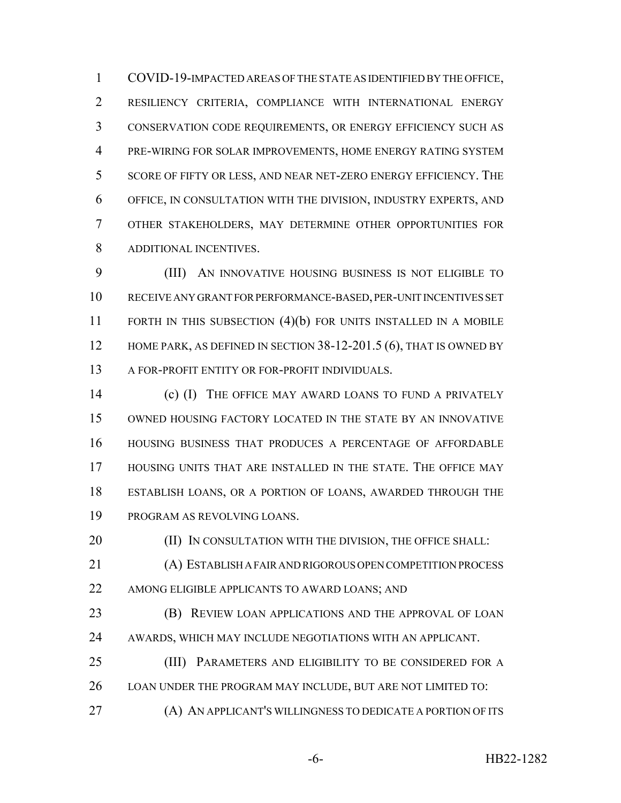COVID-19-IMPACTED AREAS OF THE STATE AS IDENTIFIED BY THE OFFICE, RESILIENCY CRITERIA, COMPLIANCE WITH INTERNATIONAL ENERGY CONSERVATION CODE REQUIREMENTS, OR ENERGY EFFICIENCY SUCH AS PRE-WIRING FOR SOLAR IMPROVEMENTS, HOME ENERGY RATING SYSTEM SCORE OF FIFTY OR LESS, AND NEAR NET-ZERO ENERGY EFFICIENCY. THE OFFICE, IN CONSULTATION WITH THE DIVISION, INDUSTRY EXPERTS, AND OTHER STAKEHOLDERS, MAY DETERMINE OTHER OPPORTUNITIES FOR ADDITIONAL INCENTIVES.

 (III) AN INNOVATIVE HOUSING BUSINESS IS NOT ELIGIBLE TO RECEIVE ANY GRANT FOR PERFORMANCE-BASED, PER-UNIT INCENTIVES SET FORTH IN THIS SUBSECTION (4)(b) FOR UNITS INSTALLED IN A MOBILE 12 HOME PARK, AS DEFINED IN SECTION 38-12-201.5 (6), THAT IS OWNED BY 13 A FOR-PROFIT ENTITY OR FOR-PROFIT INDIVIDUALS.

 (c) (I) THE OFFICE MAY AWARD LOANS TO FUND A PRIVATELY OWNED HOUSING FACTORY LOCATED IN THE STATE BY AN INNOVATIVE HOUSING BUSINESS THAT PRODUCES A PERCENTAGE OF AFFORDABLE HOUSING UNITS THAT ARE INSTALLED IN THE STATE. THE OFFICE MAY ESTABLISH LOANS, OR A PORTION OF LOANS, AWARDED THROUGH THE PROGRAM AS REVOLVING LOANS.

20 (II) IN CONSULTATION WITH THE DIVISION, THE OFFICE SHALL:

 (A) ESTABLISH A FAIR AND RIGOROUS OPEN COMPETITION PROCESS AMONG ELIGIBLE APPLICANTS TO AWARD LOANS; AND

**(B) REVIEW LOAN APPLICATIONS AND THE APPROVAL OF LOAN** AWARDS, WHICH MAY INCLUDE NEGOTIATIONS WITH AN APPLICANT.

 (III) PARAMETERS AND ELIGIBILITY TO BE CONSIDERED FOR A LOAN UNDER THE PROGRAM MAY INCLUDE, BUT ARE NOT LIMITED TO:

(A) AN APPLICANT'S WILLINGNESS TO DEDICATE A PORTION OF ITS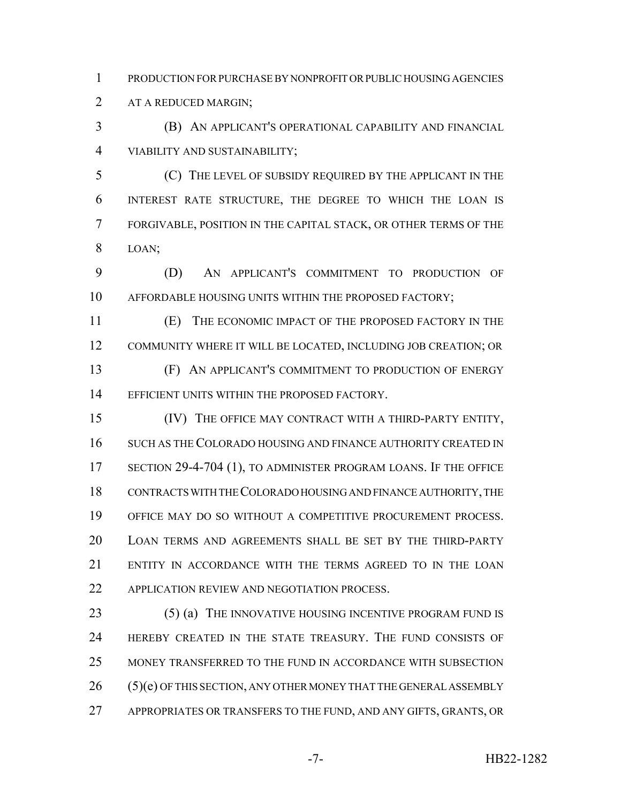PRODUCTION FOR PURCHASE BY NONPROFIT OR PUBLIC HOUSING AGENCIES AT A REDUCED MARGIN;

 (B) AN APPLICANT'S OPERATIONAL CAPABILITY AND FINANCIAL VIABILITY AND SUSTAINABILITY;

 (C) THE LEVEL OF SUBSIDY REQUIRED BY THE APPLICANT IN THE INTEREST RATE STRUCTURE, THE DEGREE TO WHICH THE LOAN IS FORGIVABLE, POSITION IN THE CAPITAL STACK, OR OTHER TERMS OF THE LOAN;

 (D) AN APPLICANT'S COMMITMENT TO PRODUCTION OF AFFORDABLE HOUSING UNITS WITHIN THE PROPOSED FACTORY;

 (E) THE ECONOMIC IMPACT OF THE PROPOSED FACTORY IN THE COMMUNITY WHERE IT WILL BE LOCATED, INCLUDING JOB CREATION; OR (F) AN APPLICANT'S COMMITMENT TO PRODUCTION OF ENERGY 14 EFFICIENT UNITS WITHIN THE PROPOSED FACTORY.

 (IV) THE OFFICE MAY CONTRACT WITH A THIRD-PARTY ENTITY, SUCH AS THE COLORADO HOUSING AND FINANCE AUTHORITY CREATED IN 17 SECTION 29-4-704 (1), TO ADMINISTER PROGRAM LOANS. IF THE OFFICE CONTRACTS WITH THE COLORADO HOUSING AND FINANCE AUTHORITY, THE OFFICE MAY DO SO WITHOUT A COMPETITIVE PROCUREMENT PROCESS. LOAN TERMS AND AGREEMENTS SHALL BE SET BY THE THIRD-PARTY ENTITY IN ACCORDANCE WITH THE TERMS AGREED TO IN THE LOAN APPLICATION REVIEW AND NEGOTIATION PROCESS.

23 (5) (a) THE INNOVATIVE HOUSING INCENTIVE PROGRAM FUND IS HEREBY CREATED IN THE STATE TREASURY. THE FUND CONSISTS OF MONEY TRANSFERRED TO THE FUND IN ACCORDANCE WITH SUBSECTION (5)(e) OF THIS SECTION, ANY OTHER MONEY THAT THE GENERAL ASSEMBLY APPROPRIATES OR TRANSFERS TO THE FUND, AND ANY GIFTS, GRANTS, OR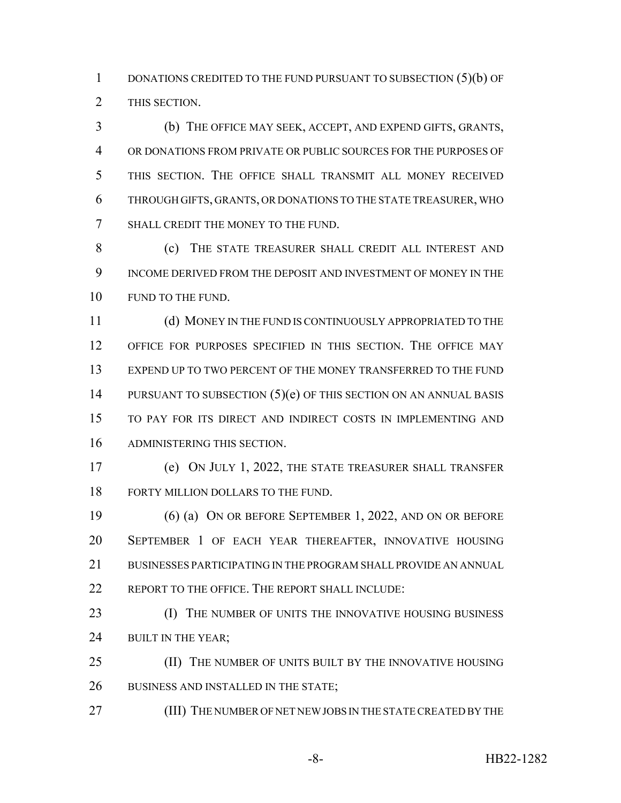1 DONATIONS CREDITED TO THE FUND PURSUANT TO SUBSECTION (5)(b) OF THIS SECTION.

 (b) THE OFFICE MAY SEEK, ACCEPT, AND EXPEND GIFTS, GRANTS, OR DONATIONS FROM PRIVATE OR PUBLIC SOURCES FOR THE PURPOSES OF THIS SECTION. THE OFFICE SHALL TRANSMIT ALL MONEY RECEIVED THROUGH GIFTS, GRANTS, OR DONATIONS TO THE STATE TREASURER, WHO SHALL CREDIT THE MONEY TO THE FUND.

 (c) THE STATE TREASURER SHALL CREDIT ALL INTEREST AND INCOME DERIVED FROM THE DEPOSIT AND INVESTMENT OF MONEY IN THE 10 FUND TO THE FUND.

 (d) MONEY IN THE FUND IS CONTINUOUSLY APPROPRIATED TO THE OFFICE FOR PURPOSES SPECIFIED IN THIS SECTION. THE OFFICE MAY EXPEND UP TO TWO PERCENT OF THE MONEY TRANSFERRED TO THE FUND 14 PURSUANT TO SUBSECTION  $(5)(e)$  OF THIS SECTION ON AN ANNUAL BASIS TO PAY FOR ITS DIRECT AND INDIRECT COSTS IN IMPLEMENTING AND ADMINISTERING THIS SECTION.

 (e) ON JULY 1, 2022, THE STATE TREASURER SHALL TRANSFER 18 FORTY MILLION DOLLARS TO THE FUND.

 (6) (a) ON OR BEFORE SEPTEMBER 1, 2022, AND ON OR BEFORE SEPTEMBER 1 OF EACH YEAR THEREAFTER, INNOVATIVE HOUSING BUSINESSES PARTICIPATING IN THE PROGRAM SHALL PROVIDE AN ANNUAL 22 REPORT TO THE OFFICE. THE REPORT SHALL INCLUDE:

**(I)** THE NUMBER OF UNITS THE INNOVATIVE HOUSING BUSINESS 24 BUILT IN THE YEAR;

 (II) THE NUMBER OF UNITS BUILT BY THE INNOVATIVE HOUSING 26 BUSINESS AND INSTALLED IN THE STATE;

(III) THE NUMBER OF NET NEW JOBS IN THE STATE CREATED BY THE